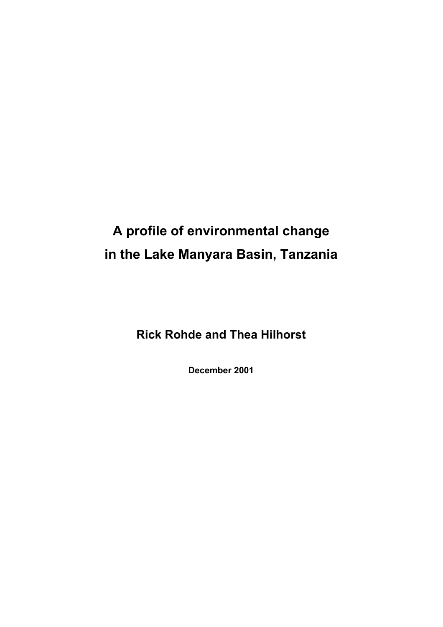# **A profile of environmental change in the Lake Manyara Basin, Tanzania**

**Rick Rohde and Thea Hilhorst** 

**December 2001**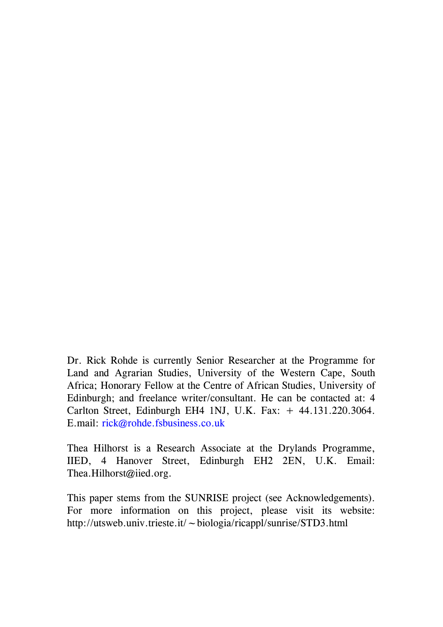Dr. Rick Rohde is currently Senior Researcher at the Programme for Land and Agrarian Studies, University of the Western Cape, South Africa; Honorary Fellow at the Centre of African Studies, University of Edinburgh; and freelance writer/consultant. He can be contacted at: 4 Carlton Street, Edinburgh EH4 1NJ, U.K. Fax: + 44.131.220.3064. E.mail: [rick@rohde.fsbusiness.co.uk](mailto:rick@rohde.fsbusiness.co.uk)

Thea Hilhorst is a Research Associate at the Drylands Programme, IIED, 4 Hanover Street, Edinburgh EH2 2EN, U.K. Email: Thea.Hilhorst@iied.org.

This paper stems from the SUNRISE project (see Acknowledgements). For more information on this project, please visit its website: http://utsweb.univ.trieste.it/~biologia/ricappl/sunrise/STD3.html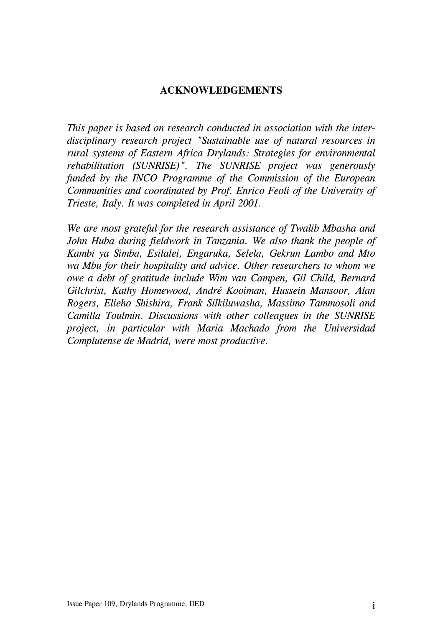### **ACKNOWLEDGEMENTS**

*This paper is based on research conducted in association with the interdisciplinary research project "Sustainable use of natural resources in rural systems of Eastern Africa Drylands: Strategies for environmental rehabilitation (SUNRISE)". The SUNRISE project was generously funded by the INCO Programme of the Commission of the European Communities and coordinated by Prof. Enrico Feoli of the University of Trieste, Italy. It was completed in April 2001.* 

*We are most grateful for the research assistance of Twalib Mbasha and John Huba during fieldwork in Tanzania. We also thank the people of Kambi ya Simba, Esilalei, Engaruka, Selela, Gekrun Lambo and Mto wa Mbu for their hospitality and advice. Other researchers to whom we owe a debt of gratitude include Wim van Campen, Gil Child, Bernard Gilchrist, Kathy Homewood, André Kooiman, Hussein Mansoor, Alan Rogers, Elieho Shishira, Frank Silkiluwasha, Massimo Tammosoli and Camilla Toulmin. Discussions with other colleagues in the SUNRISE project, in particular with Maria Machado from the Universidad Complutense de Madrid, were most productive.*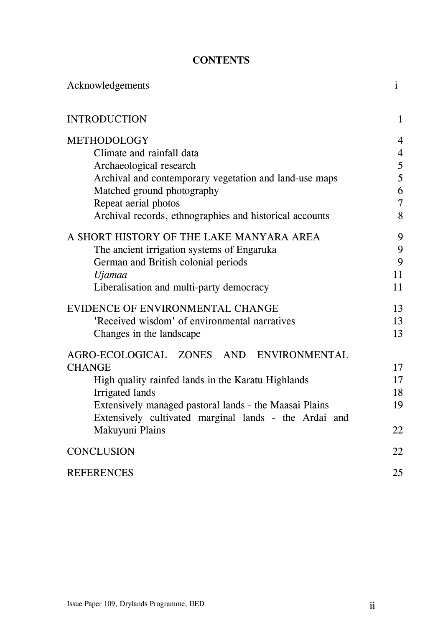## **CONTENTS**

| Acknowledgements                                        | $\mathbf{i}$   |
|---------------------------------------------------------|----------------|
| <b>INTRODUCTION</b>                                     | $\mathbf{1}$   |
| <b>METHODOLOGY</b>                                      | $\overline{4}$ |
| Climate and rainfall data                               | $\overline{4}$ |
| Archaeological research                                 | 5              |
| Archival and contemporary vegetation and land-use maps  | 5              |
| Matched ground photography                              | 6              |
| Repeat aerial photos                                    | $\overline{7}$ |
| Archival records, ethnographies and historical accounts | 8              |
| A SHORT HISTORY OF THE LAKE MANYARA AREA                | 9              |
| The ancient irrigation systems of Engaruka              | 9              |
| German and British colonial periods                     | 9              |
| Ujamaa                                                  | 11             |
| Liberalisation and multi-party democracy                | 11             |
| EVIDENCE OF ENVIRONMENTAL CHANGE                        | 13             |
| 'Received wisdom' of environmental narratives           | 13             |
| Changes in the landscape                                | 13             |
| AGRO-ECOLOGICAL ZONES AND ENVIRONMENTAL                 |                |
| <b>CHANGE</b>                                           | 17             |
| High quality rainfed lands in the Karatu Highlands      | 17             |
| Irrigated lands                                         | 18             |
| Extensively managed pastoral lands - the Maasai Plains  | 19             |
| Extensively cultivated marginal lands - the Ardai and   |                |
| Makuyuni Plains                                         | 22             |
| <b>CONCLUSION</b>                                       | 22             |
| <b>REFERENCES</b>                                       | 25             |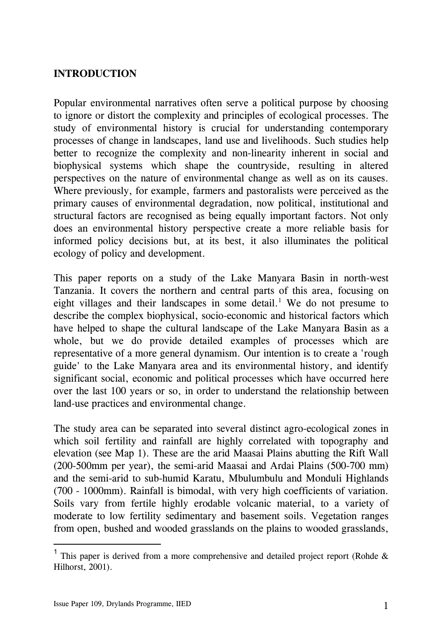# <span id="page-4-0"></span>**INTRODUCTION**

Popular environmental narratives often serve a political purpose by choosing to ignore or distort the complexity and principles of ecological processes. The study of environmental history is crucial for understanding contemporary processes of change in landscapes, land use and livelihoods. Such studies help better to recognize the complexity and non-linearity inherent in social and biophysical systems which shape the countryside, resulting in altered perspectives on the nature of environmental change as well as on its causes. Where previously, for example, farmers and pastoralists were perceived as the primary causes of environmental degradation, now political, institutional and structural factors are recognised as being equally important factors. Not only does an environmental history perspective create a more reliable basis for informed policy decisions but, at its best, it also illuminates the political ecology of policy and development.

This paper reports on a study of the Lake Manyara Basin in north-west Tanzania. It covers the northern and central parts of this area, focusing on eight villages and their landscapes in some detail.<sup>[1](#page-4-1)</sup> We do not presume to describe the complex biophysical, socio-economic and historical factors which have helped to shape the cultural landscape of the Lake Manyara Basin as a whole, but we do provide detailed examples of processes which are representative of a more general dynamism. Our intention is to create a 'rough guide' to the Lake Manyara area and its environmental history, and identify significant social, economic and political processes which have occurred here over the last 100 years or so, in order to understand the relationship between land-use practices and environmental change.

The study area can be separated into several distinct agro-ecological zones in which soil fertility and rainfall are highly correlated with topography and elevation (see Map 1). These are the arid Maasai Plains abutting the Rift Wall (200-500mm per year), the semi-arid Maasai and Ardai Plains (500-700 mm) and the semi-arid to sub-humid Karatu, Mbulumbulu and Monduli Highlands (700 - 1000mm). Rainfall is bimodal, with very high coefficients of variation. Soils vary from fertile highly erodable volcanic material, to a variety of moderate to low fertility sedimentary and basement soils. Vegetation ranges from open, bushed and wooded grasslands on the plains to wooded grasslands,

l

<span id="page-4-1"></span><sup>&</sup>lt;sup>1</sup> This paper is derived from a more comprehensive and detailed project report (Rohde  $\&$ Hilhorst, 2001).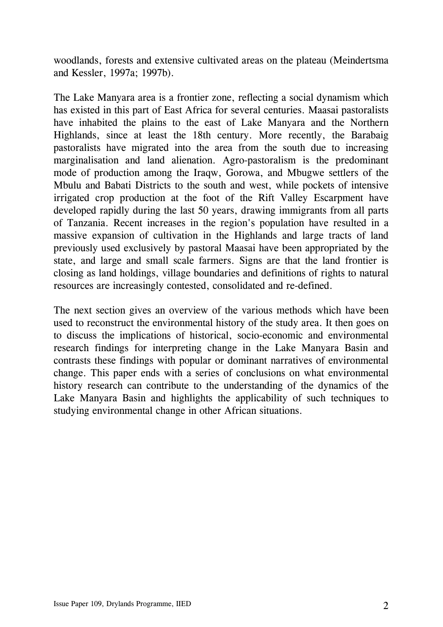woodlands, forests and extensive cultivated areas on the plateau (Meindertsma and Kessler, 1997a; 1997b).

The Lake Manyara area is a frontier zone, reflecting a social dynamism which has existed in this part of East Africa for several centuries. Maasai pastoralists have inhabited the plains to the east of Lake Manyara and the Northern Highlands, since at least the 18th century. More recently, the Barabaig pastoralists have migrated into the area from the south due to increasing marginalisation and land alienation. Agro-pastoralism is the predominant mode of production among the Iraqw, Gorowa, and Mbugwe settlers of the Mbulu and Babati Districts to the south and west, while pockets of intensive irrigated crop production at the foot of the Rift Valley Escarpment have developed rapidly during the last 50 years, drawing immigrants from all parts of Tanzania. Recent increases in the region's population have resulted in a massive expansion of cultivation in the Highlands and large tracts of land previously used exclusively by pastoral Maasai have been appropriated by the state, and large and small scale farmers. Signs are that the land frontier is closing as land holdings, village boundaries and definitions of rights to natural resources are increasingly contested, consolidated and re-defined.

The next section gives an overview of the various methods which have been used to reconstruct the environmental history of the study area. It then goes on to discuss the implications of historical, socio-economic and environmental research findings for interpreting change in the Lake Manyara Basin and contrasts these findings with popular or dominant narratives of environmental change. This paper ends with a series of conclusions on what environmental history research can contribute to the understanding of the dynamics of the Lake Manyara Basin and highlights the applicability of such techniques to studying environmental change in other African situations.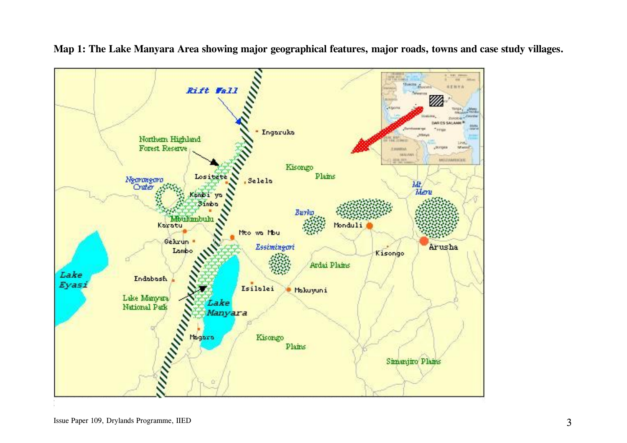

**Map 1: The Lake Manyara Area showing major geographical features, major roads, towns and case study villages.**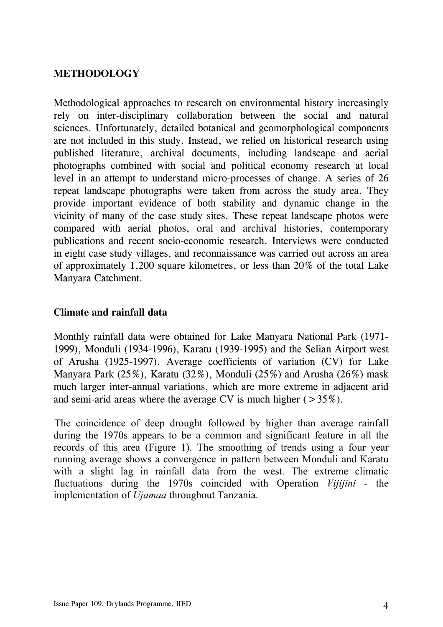# <span id="page-7-0"></span>**METHODOLOGY**

Methodological approaches to research on environmental history increasingly rely on inter-disciplinary collaboration between the social and natural sciences. Unfortunately, detailed botanical and geomorphological components are not included in this study. Instead, we relied on historical research using published literature, archival documents, including landscape and aerial photographs combined with social and political economy research at local level in an attempt to understand micro-processes of change. A series of 26 repeat landscape photographs were taken from across the study area. They provide important evidence of both stability and dynamic change in the vicinity of many of the case study sites. These repeat landscape photos were compared with aerial photos, oral and archival histories, contemporary publications and recent socio-economic research. Interviews were conducted in eight case study villages, and reconnaissance was carried out across an area of approximately 1,200 square kilometres, or less than 20% of the total Lake Manyara Catchment.

### **Climate and rainfall data**

Monthly rainfall data were obtained for Lake Manyara National Park (1971- 1999), Monduli (1934-1996), Karatu (1939-1995) and the Selian Airport west of Arusha (1925-1997). Average coefficients of variation (CV) for Lake Manyara Park (25%), Karatu (32%), Monduli (25%) and Arusha (26%) mask much larger inter-annual variations, which are more extreme in adjacent arid and semi-arid areas where the average CV is much higher  $(>35\%)$ .

The coincidence of deep drought followed by higher than average rainfall during the 1970s appears to be a common and significant feature in all the records of this area (Figure 1). The smoothing of trends using a four year running average shows a convergence in pattern between Monduli and Karatu with a slight lag in rainfall data from the west. The extreme climatic fluctuations during the 1970s coincided with Operation *Vijijini* - the implementation of *Ujamaa* throughout Tanzania.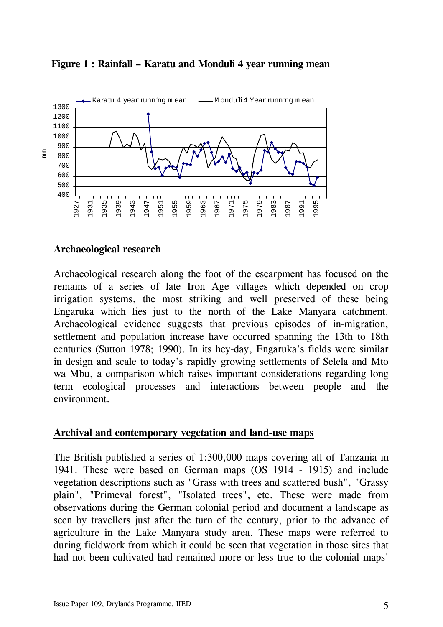

#### <span id="page-8-0"></span>**Figure 1 : Rainfall – Karatu and Monduli 4 year running mean**

#### **Archaeological research**

Archaeological research along the foot of the escarpment has focused on the remains of a series of late Iron Age villages which depended on crop irrigation systems, the most striking and well preserved of these being Engaruka which lies just to the north of the Lake Manyara catchment. Archaeological evidence suggests that previous episodes of in-migration, settlement and population increase have occurred spanning the 13th to 18th centuries (Sutton 1978; 1990). In its hey-day, Engaruka's fields were similar in design and scale to today's rapidly growing settlements of Selela and Mto wa Mbu, a comparison which raises important considerations regarding long term ecological processes and interactions between people and the environment.

#### **Archival and contemporary vegetation and land-use maps**

The British published a series of 1:300,000 maps covering all of Tanzania in 1941. These were based on German maps (OS 1914 - 1915) and include vegetation descriptions such as "Grass with trees and scattered bush", "Grassy plain", "Primeval forest", "Isolated trees", etc. These were made from observations during the German colonial period and document a landscape as seen by travellers just after the turn of the century, prior to the advance of agriculture in the Lake Manyara study area. These maps were referred to during fieldwork from which it could be seen that vegetation in those sites that had not been cultivated had remained more or less true to the colonial maps'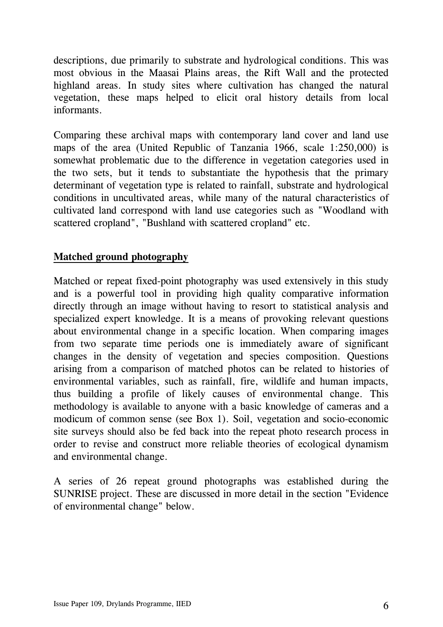<span id="page-9-0"></span>descriptions, due primarily to substrate and hydrological conditions. This was most obvious in the Maasai Plains areas, the Rift Wall and the protected highland areas. In study sites where cultivation has changed the natural vegetation, these maps helped to elicit oral history details from local informants.

Comparing these archival maps with contemporary land cover and land use maps of the area (United Republic of Tanzania 1966, scale 1:250,000) is somewhat problematic due to the difference in vegetation categories used in the two sets, but it tends to substantiate the hypothesis that the primary determinant of vegetation type is related to rainfall, substrate and hydrological conditions in uncultivated areas, while many of the natural characteristics of cultivated land correspond with land use categories such as "Woodland with scattered cropland", "Bushland with scattered cropland" etc.

## **Matched ground photography**

Matched or repeat fixed-point photography was used extensively in this study and is a powerful tool in providing high quality comparative information directly through an image without having to resort to statistical analysis and specialized expert knowledge. It is a means of provoking relevant questions about environmental change in a specific location. When comparing images from two separate time periods one is immediately aware of significant changes in the density of vegetation and species composition. Questions arising from a comparison of matched photos can be related to histories of environmental variables, such as rainfall, fire, wildlife and human impacts, thus building a profile of likely causes of environmental change. This methodology is available to anyone with a basic knowledge of cameras and a modicum of common sense (see Box 1). Soil, vegetation and socio-economic site surveys should also be fed back into the repeat photo research process in order to revise and construct more reliable theories of ecological dynamism and environmental change.

A series of 26 repeat ground photographs was established during the SUNRISE project. These are discussed in more detail in the section "Evidence of environmental change" below.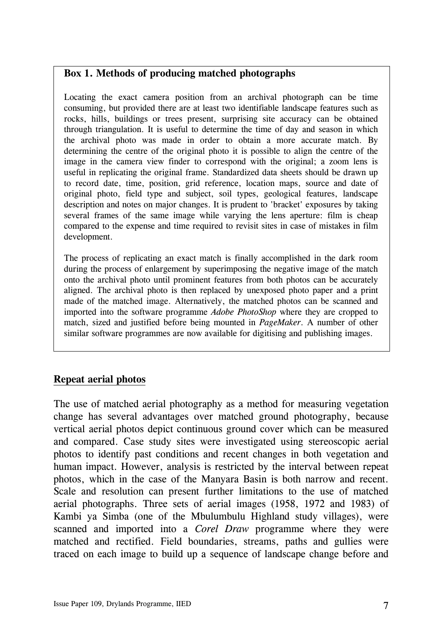#### <span id="page-10-0"></span>**Box 1. Methods of producing matched photographs**

Locating the exact camera position from an archival photograph can be time consuming, but provided there are at least two identifiable landscape features such as rocks, hills, buildings or trees present, surprising site accuracy can be obtained through triangulation. It is useful to determine the time of day and season in which the archival photo was made in order to obtain a more accurate match. By determining the centre of the original photo it is possible to align the centre of the image in the camera view finder to correspond with the original; a zoom lens is useful in replicating the original frame. Standardized data sheets should be drawn up to record date, time, position, grid reference, location maps, source and date of original photo, field type and subject, soil types, geological features, landscape description and notes on major changes. It is prudent to 'bracket' exposures by taking several frames of the same image while varying the lens aperture: film is cheap compared to the expense and time required to revisit sites in case of mistakes in film development.

The process of replicating an exact match is finally accomplished in the dark room during the process of enlargement by superimposing the negative image of the match onto the archival photo until prominent features from both photos can be accurately aligned. The archival photo is then replaced by unexposed photo paper and a print made of the matched image. Alternatively, the matched photos can be scanned and imported into the software programme *Adobe PhotoShop* where they are cropped to match, sized and justified before being mounted in *PageMaker*. A number of other similar software programmes are now available for digitising and publishing images.

#### **Repeat aerial photos**

The use of matched aerial photography as a method for measuring vegetation change has several advantages over matched ground photography, because vertical aerial photos depict continuous ground cover which can be measured and compared. Case study sites were investigated using stereoscopic aerial photos to identify past conditions and recent changes in both vegetation and human impact. However, analysis is restricted by the interval between repeat photos, which in the case of the Manyara Basin is both narrow and recent. Scale and resolution can present further limitations to the use of matched aerial photographs. Three sets of aerial images (1958, 1972 and 1983) of Kambi ya Simba (one of the Mbulumbulu Highland study villages), were scanned and imported into a *Corel Draw* programme where they were matched and rectified. Field boundaries, streams, paths and gullies were traced on each image to build up a sequence of landscape change before and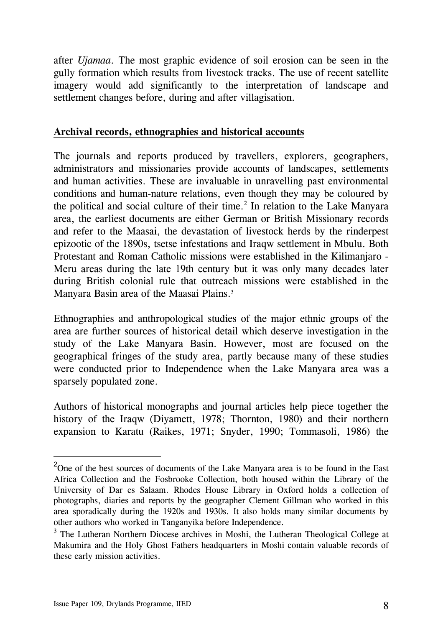<span id="page-11-0"></span>after *Ujamaa*. The most graphic evidence of soil erosion can be seen in the gully formation which results from livestock tracks. The use of recent satellite imagery would add significantly to the interpretation of landscape and settlement changes before, during and after villagisation.

#### **Archival records, ethnographies and historical accounts**

The journals and reports produced by travellers, explorers, geographers, administrators and missionaries provide accounts of landscapes, settlements and human activities. These are invaluable in unravelling past environmental conditions and human-nature relations, even though they may be coloured by the political and social culture of their time.<sup>[2](#page-11-1)</sup> In relation to the Lake Manyara area, the earliest documents are either German or British Missionary records and refer to the Maasai, the devastation of livestock herds by the rinderpest epizootic of the 1890s, tsetse infestations and Iraqw settlement in Mbulu. Both Protestant and Roman Catholic missions were established in the Kilimanjaro - Meru areas during the late 19th century but it was only many decades later during British colonial rule that outreach missions were established in the Manyara Basin area of the Maasai Plains.<sup>3</sup>

Ethnographies and anthropological studies of the major ethnic groups of the area are further sources of historical detail which deserve investigation in the study of the Lake Manyara Basin. However, most are focused on the geographical fringes of the study area, partly because many of these studies were conducted prior to Independence when the Lake Manyara area was a sparsely populated zone.

Authors of historical monographs and journal articles help piece together the history of the Iraqw (Diyamett, 1978; Thornton, 1980) and their northern expansion to Karatu (Raikes, 1971; Snyder, 1990; Tommasoli, 1986) the

 $\overline{a}$ 

<span id="page-11-1"></span><sup>&</sup>lt;sup>2</sup>One of the best sources of documents of the Lake Manyara area is to be found in the East Africa Collection and the Fosbrooke Collection, both housed within the Library of the University of Dar es Salaam. Rhodes House Library in Oxford holds a collection of photographs, diaries and reports by the geographer Clement Gillman who worked in this area sporadically during the 1920s and 1930s. It also holds many similar documents by other authors who worked in Tanganyika before Independence.

<span id="page-11-2"></span><sup>&</sup>lt;sup>3</sup> The Lutheran Northern Diocese archives in Moshi, the Lutheran Theological College at Makumira and the Holy Ghost Fathers headquarters in Moshi contain valuable records of these early mission activities.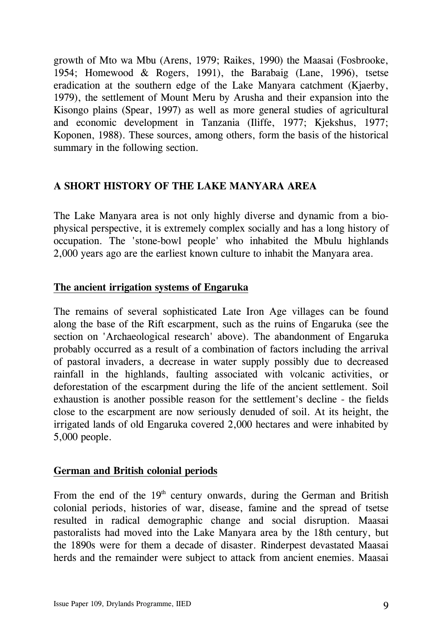<span id="page-12-0"></span>growth of Mto wa Mbu (Arens, 1979; Raikes, 1990) the Maasai (Fosbrooke, 1954; Homewood & Rogers, 1991), the Barabaig (Lane, 1996), tsetse eradication at the southern edge of the Lake Manyara catchment (Kjaerby, 1979), the settlement of Mount Meru by Arusha and their expansion into the Kisongo plains (Spear, 1997) as well as more general studies of agricultural and economic development in Tanzania (Iliffe, 1977; Kjekshus, 1977; Koponen, 1988). These sources, among others, form the basis of the historical summary in the following section.

# **A SHORT HISTORY OF THE LAKE MANYARA AREA**

The Lake Manyara area is not only highly diverse and dynamic from a biophysical perspective, it is extremely complex socially and has a long history of occupation. The 'stone-bowl people' who inhabited the Mbulu highlands 2,000 years ago are the earliest known culture to inhabit the Manyara area.

#### **The ancient irrigation systems of Engaruka**

The remains of several sophisticated Late Iron Age villages can be found along the base of the Rift escarpment, such as the ruins of Engaruka (see the section on 'Archaeological research' above). The abandonment of Engaruka probably occurred as a result of a combination of factors including the arrival of pastoral invaders, a decrease in water supply possibly due to decreased rainfall in the highlands, faulting associated with volcanic activities, or deforestation of the escarpment during the life of the ancient settlement. Soil exhaustion is another possible reason for the settlement's decline - the fields close to the escarpment are now seriously denuded of soil. At its height, the irrigated lands of old Engaruka covered 2,000 hectares and were inhabited by 5,000 people.

#### **German and British colonial periods**

From the end of the  $19<sup>th</sup>$  century onwards, during the German and British colonial periods, histories of war, disease, famine and the spread of tsetse resulted in radical demographic change and social disruption. Maasai pastoralists had moved into the Lake Manyara area by the 18th century, but the 1890s were for them a decade of disaster. Rinderpest devastated Maasai herds and the remainder were subject to attack from ancient enemies. Maasai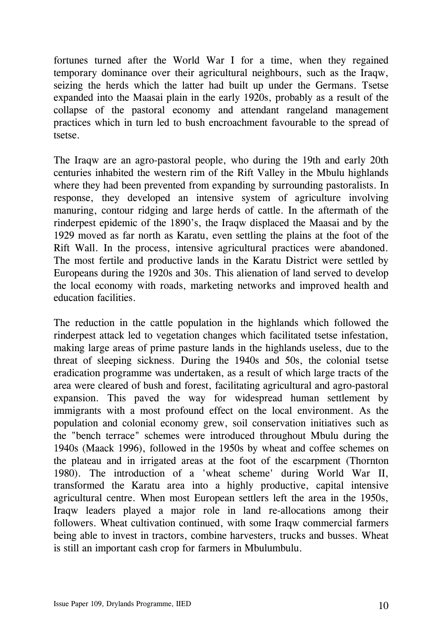fortunes turned after the World War I for a time, when they regained temporary dominance over their agricultural neighbours, such as the Iraqw, seizing the herds which the latter had built up under the Germans. Tsetse expanded into the Maasai plain in the early 1920s, probably as a result of the collapse of the pastoral economy and attendant rangeland management practices which in turn led to bush encroachment favourable to the spread of tsetse.

The Iraqw are an agro-pastoral people, who during the 19th and early 20th centuries inhabited the western rim of the Rift Valley in the Mbulu highlands where they had been prevented from expanding by surrounding pastoralists. In response, they developed an intensive system of agriculture involving manuring, contour ridging and large herds of cattle. In the aftermath of the rinderpest epidemic of the 1890's, the Iraqw displaced the Maasai and by the 1929 moved as far north as Karatu, even settling the plains at the foot of the Rift Wall. In the process, intensive agricultural practices were abandoned. The most fertile and productive lands in the Karatu District were settled by Europeans during the 1920s and 30s. This alienation of land served to develop the local economy with roads, marketing networks and improved health and education facilities.

The reduction in the cattle population in the highlands which followed the rinderpest attack led to vegetation changes which facilitated tsetse infestation, making large areas of prime pasture lands in the highlands useless, due to the threat of sleeping sickness. During the 1940s and 50s, the colonial tsetse eradication programme was undertaken, as a result of which large tracts of the area were cleared of bush and forest, facilitating agricultural and agro-pastoral expansion. This paved the way for widespread human settlement by immigrants with a most profound effect on the local environment. As the population and colonial economy grew, soil conservation initiatives such as the "bench terrace" schemes were introduced throughout Mbulu during the 1940s (Maack 1996), followed in the 1950s by wheat and coffee schemes on the plateau and in irrigated areas at the foot of the escarpment (Thornton 1980). The introduction of a 'wheat scheme' during World War II, transformed the Karatu area into a highly productive, capital intensive agricultural centre. When most European settlers left the area in the 1950s, Iraqw leaders played a major role in land re-allocations among their followers. Wheat cultivation continued, with some Iraqw commercial farmers being able to invest in tractors, combine harvesters, trucks and busses. Wheat is still an important cash crop for farmers in Mbulumbulu.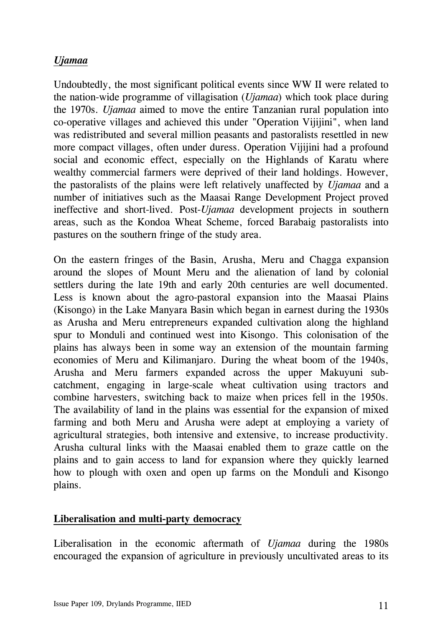# <span id="page-14-0"></span>*Ujamaa*

Undoubtedly, the most significant political events since WW II were related to the nation-wide programme of villagisation (*Ujamaa*) which took place during the 1970s. *Ujamaa* aimed to move the entire Tanzanian rural population into co-operative villages and achieved this under "Operation Vijijini", when land was redistributed and several million peasants and pastoralists resettled in new more compact villages, often under duress. Operation Vijijini had a profound social and economic effect, especially on the Highlands of Karatu where wealthy commercial farmers were deprived of their land holdings. However, the pastoralists of the plains were left relatively unaffected by *Ujamaa* and a number of initiatives such as the Maasai Range Development Project proved ineffective and short-lived. Post-*Ujamaa* development projects in southern areas, such as the Kondoa Wheat Scheme, forced Barabaig pastoralists into pastures on the southern fringe of the study area.

On the eastern fringes of the Basin, Arusha, Meru and Chagga expansion around the slopes of Mount Meru and the alienation of land by colonial settlers during the late 19th and early 20th centuries are well documented. Less is known about the agro-pastoral expansion into the Maasai Plains (Kisongo) in the Lake Manyara Basin which began in earnest during the 1930s as Arusha and Meru entrepreneurs expanded cultivation along the highland spur to Monduli and continued west into Kisongo. This colonisation of the plains has always been in some way an extension of the mountain farming economies of Meru and Kilimanjaro. During the wheat boom of the 1940s, Arusha and Meru farmers expanded across the upper Makuyuni subcatchment, engaging in large-scale wheat cultivation using tractors and combine harvesters, switching back to maize when prices fell in the 1950s. The availability of land in the plains was essential for the expansion of mixed farming and both Meru and Arusha were adept at employing a variety of agricultural strategies, both intensive and extensive, to increase productivity. Arusha cultural links with the Maasai enabled them to graze cattle on the plains and to gain access to land for expansion where they quickly learned how to plough with oxen and open up farms on the Monduli and Kisongo plains.

#### **Liberalisation and multi-party democracy**

Liberalisation in the economic aftermath of *Ujamaa* during the 1980s encouraged the expansion of agriculture in previously uncultivated areas to its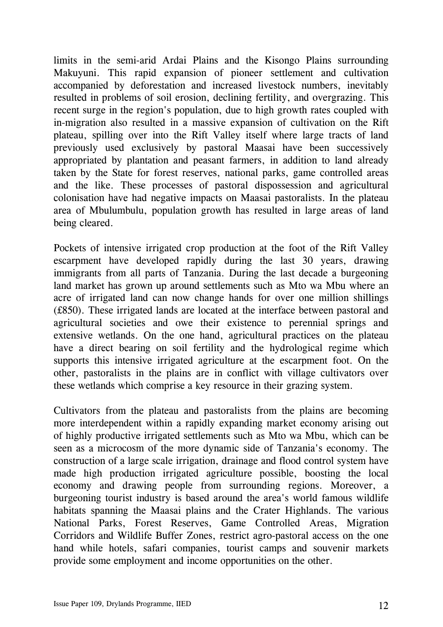limits in the semi-arid Ardai Plains and the Kisongo Plains surrounding Makuyuni. This rapid expansion of pioneer settlement and cultivation accompanied by deforestation and increased livestock numbers, inevitably resulted in problems of soil erosion, declining fertility, and overgrazing. This recent surge in the region's population, due to high growth rates coupled with in-migration also resulted in a massive expansion of cultivation on the Rift plateau, spilling over into the Rift Valley itself where large tracts of land previously used exclusively by pastoral Maasai have been successively appropriated by plantation and peasant farmers, in addition to land already taken by the State for forest reserves, national parks, game controlled areas and the like. These processes of pastoral dispossession and agricultural colonisation have had negative impacts on Maasai pastoralists. In the plateau area of Mbulumbulu, population growth has resulted in large areas of land being cleared.

Pockets of intensive irrigated crop production at the foot of the Rift Valley escarpment have developed rapidly during the last 30 years, drawing immigrants from all parts of Tanzania. During the last decade a burgeoning land market has grown up around settlements such as Mto wa Mbu where an acre of irrigated land can now change hands for over one million shillings (£850). These irrigated lands are located at the interface between pastoral and agricultural societies and owe their existence to perennial springs and extensive wetlands. On the one hand, agricultural practices on the plateau have a direct bearing on soil fertility and the hydrological regime which supports this intensive irrigated agriculture at the escarpment foot. On the other, pastoralists in the plains are in conflict with village cultivators over these wetlands which comprise a key resource in their grazing system.

Cultivators from the plateau and pastoralists from the plains are becoming more interdependent within a rapidly expanding market economy arising out of highly productive irrigated settlements such as Mto wa Mbu, which can be seen as a microcosm of the more dynamic side of Tanzania's economy. The construction of a large scale irrigation, drainage and flood control system have made high production irrigated agriculture possible, boosting the local economy and drawing people from surrounding regions. Moreover, a burgeoning tourist industry is based around the area's world famous wildlife habitats spanning the Maasai plains and the Crater Highlands. The various National Parks, Forest Reserves, Game Controlled Areas, Migration Corridors and Wildlife Buffer Zones, restrict agro-pastoral access on the one hand while hotels, safari companies, tourist camps and souvenir markets provide some employment and income opportunities on the other.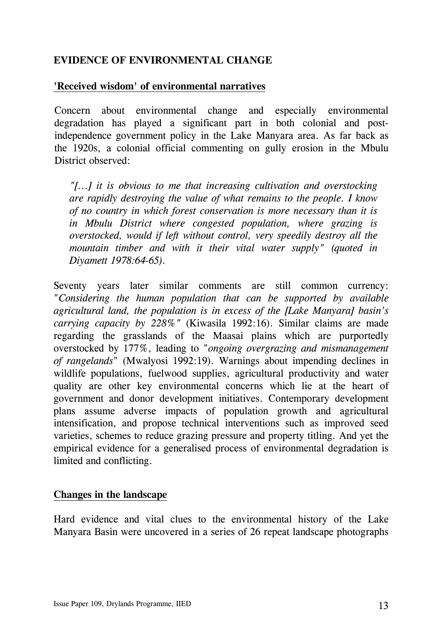## <span id="page-16-0"></span>**EVIDENCE OF ENVIRONMENTAL CHANGE**

### **'Received wisdom' of environmental narratives**

Concern about environmental change and especially environmental degradation has played a significant part in both colonial and postindependence government policy in the Lake Manyara area. As far back as the 1920s, a colonial official commenting on gully erosion in the Mbulu District observed:

*"[...] it is obvious to me that increasing cultivation and overstocking are rapidly destroying the value of what remains to the people. I know of no country in which forest conservation is more necessary than it is in Mbulu District where congested population, where grazing is overstocked, would if left without control, very speedily destroy all the mountain timber and with it their vital water supply" (quoted in Diyamett 1978:64-65).* 

Seventy years later similar comments are still common currency: "*Considering the human population that can be supported by available agricultural land, the population is in excess of the [Lake Manyara] basin's carrying capacity by 228%"* (Kiwasila 1992:16). Similar claims are made regarding the grasslands of the Maasai plains which are purportedly overstocked by 177%, leading to "*ongoing overgrazing and mismanagement of rangelands*" (Mwalyosi 1992:19). Warnings about impending declines in wildlife populations, fuelwood supplies, agricultural productivity and water quality are other key environmental concerns which lie at the heart of government and donor development initiatives. Contemporary development plans assume adverse impacts of population growth and agricultural intensification, and propose technical interventions such as improved seed varieties, schemes to reduce grazing pressure and property titling. And yet the empirical evidence for a generalised process of environmental degradation is limited and conflicting.

#### **Changes in the landscape**

Hard evidence and vital clues to the environmental history of the Lake Manyara Basin were uncovered in a series of 26 repeat landscape photographs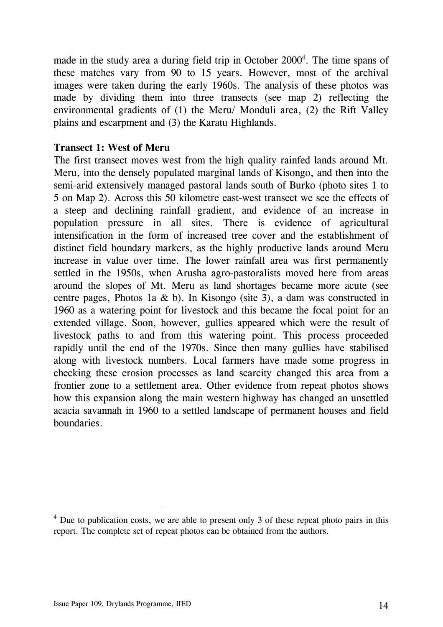made in the study area a during field trip in October  $2000<sup>4</sup>$  $2000<sup>4</sup>$  $2000<sup>4</sup>$ . The time spans of these matches vary from 90 to 15 years. However, most of the archival images were taken during the early 1960s. The analysis of these photos was made by dividing them into three transects (see map 2) reflecting the environmental gradients of (1) the Meru/ Monduli area, (2) the Rift Valley plains and escarpment and (3) the Karatu Highlands.

#### **Transect 1: West of Meru**

The first transect moves west from the high quality rainfed lands around Mt. Meru, into the densely populated marginal lands of Kisongo, and then into the semi-arid extensively managed pastoral lands south of Burko (photo sites 1 to 5 on Map 2). Across this 50 kilometre east-west transect we see the effects of a steep and declining rainfall gradient, and evidence of an increase in population pressure in all sites. There is evidence of agricultural intensification in the form of increased tree cover and the establishment of distinct field boundary markers, as the highly productive lands around Meru increase in value over time. The lower rainfall area was first permanently settled in the 1950s, when Arusha agro-pastoralists moved here from areas around the slopes of Mt. Meru as land shortages became more acute (see centre pages, Photos 1a & b). In Kisongo (site 3), a dam was constructed in 1960 as a watering point for livestock and this became the focal point for an extended village. Soon, however, gullies appeared which were the result of livestock paths to and from this watering point. This process proceeded rapidly until the end of the 1970s. Since then many gullies have stabilised along with livestock numbers. Local farmers have made some progress in checking these erosion processes as land scarcity changed this area from a frontier zone to a settlement area. Other evidence from repeat photos shows how this expansion along the main western highway has changed an unsettled acacia savannah in 1960 to a settled landscape of permanent houses and field boundaries.

l

<span id="page-17-0"></span> $4$  Due to publication costs, we are able to present only 3 of these repeat photo pairs in this report. The complete set of repeat photos can be obtained from the authors.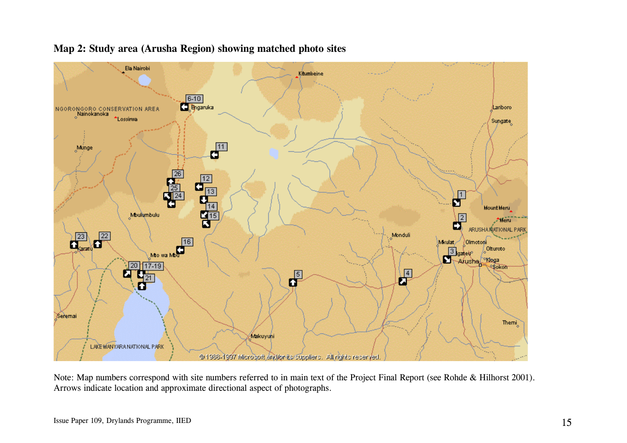

#### **Map 2: Study area (Arusha Region) showing matched photo sites**

Note: Map numbers correspond with site numbers referred to in main text of the Project Final Report (see Rohde & Hilhorst 2001). Arrows indicate location and approximate directional aspect of photographs.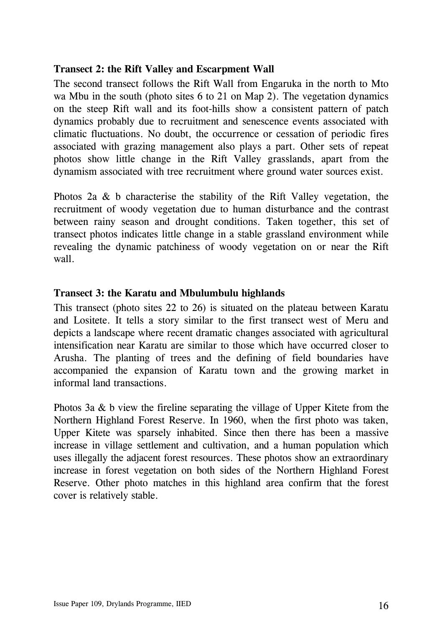#### **Transect 2: the Rift Valley and Escarpment Wall**

The second transect follows the Rift Wall from Engaruka in the north to Mto wa Mbu in the south (photo sites 6 to 21 on Map 2). The vegetation dynamics on the steep Rift wall and its foot-hills show a consistent pattern of patch dynamics probably due to recruitment and senescence events associated with climatic fluctuations. No doubt, the occurrence or cessation of periodic fires associated with grazing management also plays a part. Other sets of repeat photos show little change in the Rift Valley grasslands, apart from the dynamism associated with tree recruitment where ground water sources exist.

Photos 2a & b characterise the stability of the Rift Valley vegetation, the recruitment of woody vegetation due to human disturbance and the contrast between rainy season and drought conditions. Taken together, this set of transect photos indicates little change in a stable grassland environment while revealing the dynamic patchiness of woody vegetation on or near the Rift wall.

## **Transect 3: the Karatu and Mbulumbulu highlands**

This transect (photo sites 22 to 26) is situated on the plateau between Karatu and Lositete. It tells a story similar to the first transect west of Meru and depicts a landscape where recent dramatic changes associated with agricultural intensification near Karatu are similar to those which have occurred closer to Arusha. The planting of trees and the defining of field boundaries have accompanied the expansion of Karatu town and the growing market in informal land transactions.

Photos 3a & b view the fireline separating the village of Upper Kitete from the Northern Highland Forest Reserve. In 1960, when the first photo was taken, Upper Kitete was sparsely inhabited. Since then there has been a massive increase in village settlement and cultivation, and a human population which uses illegally the adjacent forest resources. These photos show an extraordinary increase in forest vegetation on both sides of the Northern Highland Forest Reserve. Other photo matches in this highland area confirm that the forest cover is relatively stable.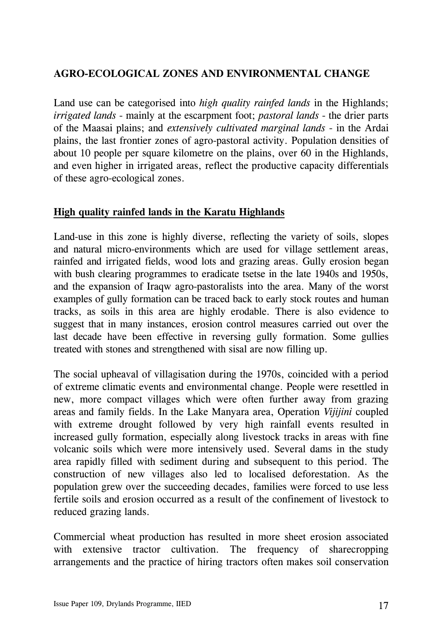# <span id="page-20-0"></span>**AGRO-ECOLOGICAL ZONES AND ENVIRONMENTAL CHANGE**

Land use can be categorised into *high quality rainfed lands* in the Highlands; *irrigated lands* - mainly at the escarpment foot; *pastoral lands* - the drier parts of the Maasai plains; and *extensively cultivated marginal lands -* in the Ardai plains, the last frontier zones of agro-pastoral activity. Population densities of about 10 people per square kilometre on the plains, over 60 in the Highlands, and even higher in irrigated areas, reflect the productive capacity differentials of these agro-ecological zones.

## **High quality rainfed lands in the Karatu Highlands**

Land-use in this zone is highly diverse, reflecting the variety of soils, slopes and natural micro-environments which are used for village settlement areas, rainfed and irrigated fields, wood lots and grazing areas. Gully erosion began with bush clearing programmes to eradicate tsetse in the late 1940s and 1950s, and the expansion of Iraqw agro-pastoralists into the area. Many of the worst examples of gully formation can be traced back to early stock routes and human tracks, as soils in this area are highly erodable. There is also evidence to suggest that in many instances, erosion control measures carried out over the last decade have been effective in reversing gully formation. Some gullies treated with stones and strengthened with sisal are now filling up.

The social upheaval of villagisation during the 1970s, coincided with a period of extreme climatic events and environmental change. People were resettled in new, more compact villages which were often further away from grazing areas and family fields. In the Lake Manyara area, Operation *Vijijini* coupled with extreme drought followed by very high rainfall events resulted in increased gully formation, especially along livestock tracks in areas with fine volcanic soils which were more intensively used. Several dams in the study area rapidly filled with sediment during and subsequent to this period. The construction of new villages also led to localised deforestation. As the population grew over the succeeding decades, families were forced to use less fertile soils and erosion occurred as a result of the confinement of livestock to reduced grazing lands.

Commercial wheat production has resulted in more sheet erosion associated with extensive tractor cultivation. The frequency of sharecropping arrangements and the practice of hiring tractors often makes soil conservation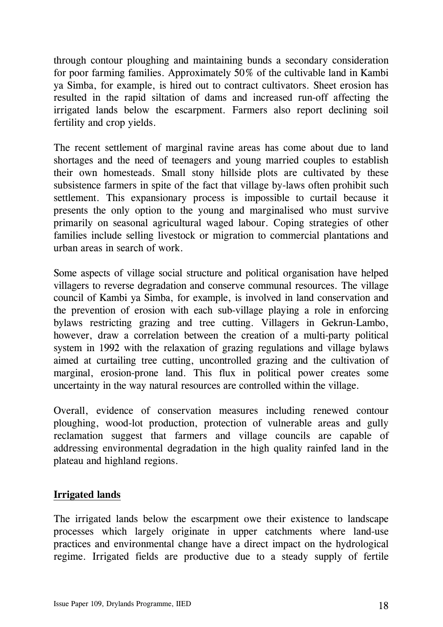<span id="page-21-0"></span>through contour ploughing and maintaining bunds a secondary consideration for poor farming families. Approximately 50% of the cultivable land in Kambi ya Simba, for example, is hired out to contract cultivators. Sheet erosion has resulted in the rapid siltation of dams and increased run-off affecting the irrigated lands below the escarpment. Farmers also report declining soil fertility and crop yields.

The recent settlement of marginal ravine areas has come about due to land shortages and the need of teenagers and young married couples to establish their own homesteads. Small stony hillside plots are cultivated by these subsistence farmers in spite of the fact that village by-laws often prohibit such settlement. This expansionary process is impossible to curtail because it presents the only option to the young and marginalised who must survive primarily on seasonal agricultural waged labour. Coping strategies of other families include selling livestock or migration to commercial plantations and urban areas in search of work.

Some aspects of village social structure and political organisation have helped villagers to reverse degradation and conserve communal resources. The village council of Kambi ya Simba, for example, is involved in land conservation and the prevention of erosion with each sub-village playing a role in enforcing bylaws restricting grazing and tree cutting. Villagers in Gekrun-Lambo, however, draw a correlation between the creation of a multi-party political system in 1992 with the relaxation of grazing regulations and village bylaws aimed at curtailing tree cutting, uncontrolled grazing and the cultivation of marginal, erosion-prone land. This flux in political power creates some uncertainty in the way natural resources are controlled within the village.

Overall, evidence of conservation measures including renewed contour ploughing, wood-lot production, protection of vulnerable areas and gully reclamation suggest that farmers and village councils are capable of addressing environmental degradation in the high quality rainfed land in the plateau and highland regions.

#### **Irrigated lands**

The irrigated lands below the escarpment owe their existence to landscape processes which largely originate in upper catchments where land-use practices and environmental change have a direct impact on the hydrological regime. Irrigated fields are productive due to a steady supply of fertile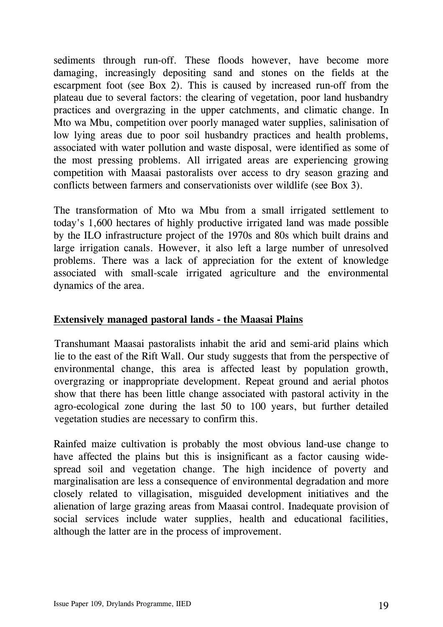<span id="page-22-0"></span>sediments through run-off. These floods however, have become more damaging, increasingly depositing sand and stones on the fields at the escarpment foot (see Box 2). This is caused by increased run-off from the plateau due to several factors: the clearing of vegetation, poor land husbandry practices and overgrazing in the upper catchments, and climatic change. In Mto wa Mbu, competition over poorly managed water supplies, salinisation of low lying areas due to poor soil husbandry practices and health problems, associated with water pollution and waste disposal, were identified as some of the most pressing problems. All irrigated areas are experiencing growing competition with Maasai pastoralists over access to dry season grazing and conflicts between farmers and conservationists over wildlife (see Box 3).

The transformation of Mto wa Mbu from a small irrigated settlement to today's 1,600 hectares of highly productive irrigated land was made possible by the ILO infrastructure project of the 1970s and 80s which built drains and large irrigation canals. However, it also left a large number of unresolved problems. There was a lack of appreciation for the extent of knowledge associated with small-scale irrigated agriculture and the environmental dynamics of the area.

#### **Extensively managed pastoral lands - the Maasai Plains**

Transhumant Maasai pastoralists inhabit the arid and semi-arid plains which lie to the east of the Rift Wall. Our study suggests that from the perspective of environmental change, this area is affected least by population growth, overgrazing or inappropriate development. Repeat ground and aerial photos show that there has been little change associated with pastoral activity in the agro-ecological zone during the last 50 to 100 years, but further detailed vegetation studies are necessary to confirm this.

Rainfed maize cultivation is probably the most obvious land-use change to have affected the plains but this is insignificant as a factor causing widespread soil and vegetation change. The high incidence of poverty and marginalisation are less a consequence of environmental degradation and more closely related to villagisation, misguided development initiatives and the alienation of large grazing areas from Maasai control. Inadequate provision of social services include water supplies, health and educational facilities, although the latter are in the process of improvement.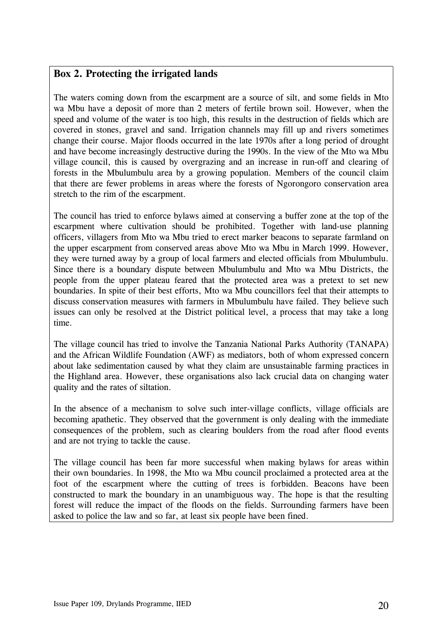#### **Box 2. Protecting the irrigated lands**

The waters coming down from the escarpment are a source of silt, and some fields in Mto wa Mbu have a deposit of more than 2 meters of fertile brown soil. However, when the speed and volume of the water is too high, this results in the destruction of fields which are covered in stones, gravel and sand. Irrigation channels may fill up and rivers sometimes change their course. Major floods occurred in the late 1970s after a long period of drought and have become increasingly destructive during the 1990s. In the view of the Mto wa Mbu village council, this is caused by overgrazing and an increase in run-off and clearing of forests in the Mbulumbulu area by a growing population. Members of the council claim that there are fewer problems in areas where the forests of Ngorongoro conservation area stretch to the rim of the escarpment.

The council has tried to enforce bylaws aimed at conserving a buffer zone at the top of the escarpment where cultivation should be prohibited. Together with land-use planning officers, villagers from Mto wa Mbu tried to erect marker beacons to separate farmland on the upper escarpment from conserved areas above Mto wa Mbu in March 1999. However, they were turned away by a group of local farmers and elected officials from Mbulumbulu. Since there is a boundary dispute between Mbulumbulu and Mto wa Mbu Districts, the people from the upper plateau feared that the protected area was a pretext to set new boundaries. In spite of their best efforts, Mto wa Mbu councillors feel that their attempts to discuss conservation measures with farmers in Mbulumbulu have failed. They believe such issues can only be resolved at the District political level, a process that may take a long time.

The village council has tried to involve the Tanzania National Parks Authority (TANAPA) and the African Wildlife Foundation (AWF) as mediators, both of whom expressed concern about lake sedimentation caused by what they claim are unsustainable farming practices in the Highland area. However, these organisations also lack crucial data on changing water quality and the rates of siltation.

In the absence of a mechanism to solve such inter-village conflicts, village officials are becoming apathetic. They observed that the government is only dealing with the immediate consequences of the problem, such as clearing boulders from the road after flood events and are not trying to tackle the cause.

The village council has been far more successful when making bylaws for areas within their own boundaries. In 1998, the Mto wa Mbu council proclaimed a protected area at the foot of the escarpment where the cutting of trees is forbidden. Beacons have been constructed to mark the boundary in an unambiguous way. The hope is that the resulting forest will reduce the impact of the floods on the fields. Surrounding farmers have been asked to police the law and so far, at least six people have been fined.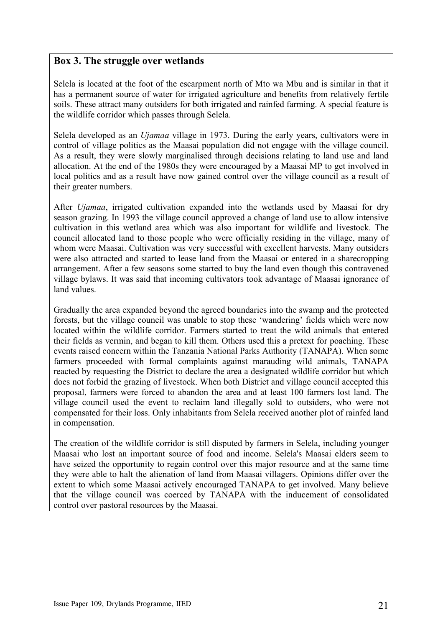#### **Box 3. The struggle over wetlands**

Selela is located at the foot of the escarpment north of Mto wa Mbu and is similar in that it has a permanent source of water for irrigated agriculture and benefits from relatively fertile soils. These attract many outsiders for both irrigated and rainfed farming. A special feature is the wildlife corridor which passes through Selela.

Selela developed as an *Ujamaa* village in 1973. During the early years, cultivators were in control of village politics as the Maasai population did not engage with the village council. As a result, they were slowly marginalised through decisions relating to land use and land allocation. At the end of the 1980s they were encouraged by a Maasai MP to get involved in local politics and as a result have now gained control over the village council as a result of their greater numbers.

After *Ujamaa*, irrigated cultivation expanded into the wetlands used by Maasai for dry season grazing. In 1993 the village council approved a change of land use to allow intensive cultivation in this wetland area which was also important for wildlife and livestock. The council allocated land to those people who were officially residing in the village, many of whom were Maasai. Cultivation was very successful with excellent harvests. Many outsiders were also attracted and started to lease land from the Maasai or entered in a sharecropping arrangement. After a few seasons some started to buy the land even though this contravened village bylaws. It was said that incoming cultivators took advantage of Maasai ignorance of land values.

Gradually the area expanded beyond the agreed boundaries into the swamp and the protected forests, but the village council was unable to stop these 'wandering' fields which were now located within the wildlife corridor. Farmers started to treat the wild animals that entered their fields as vermin, and began to kill them. Others used this a pretext for poaching. These events raised concern within the Tanzania National Parks Authority (TANAPA). When some farmers proceeded with formal complaints against marauding wild animals, TANAPA reacted by requesting the District to declare the area a designated wildlife corridor but which does not forbid the grazing of livestock. When both District and village council accepted this proposal, farmers were forced to abandon the area and at least 100 farmers lost land. The village council used the event to reclaim land illegally sold to outsiders, who were not compensated for their loss. Only inhabitants from Selela received another plot of rainfed land in compensation.

The creation of the wildlife corridor is still disputed by farmers in Selela, including younger Maasai who lost an important source of food and income. Selela's Maasai elders seem to have seized the opportunity to regain control over this major resource and at the same time they were able to halt the alienation of land from Maasai villagers. Opinions differ over the extent to which some Maasai actively encouraged TANAPA to get involved. Many believe that the village council was coerced by TANAPA with the inducement of consolidated control over pastoral resources by the Maasai.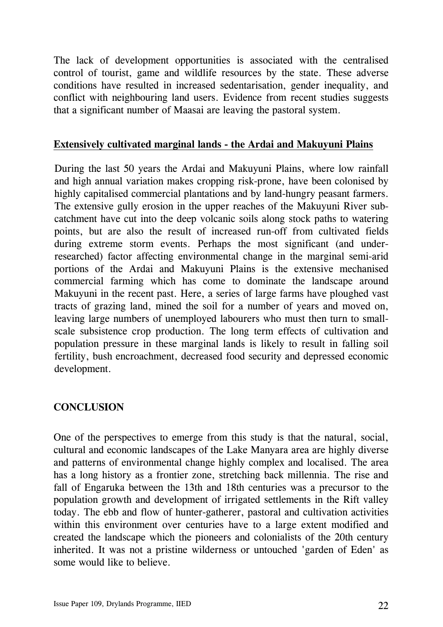<span id="page-25-0"></span>The lack of development opportunities is associated with the centralised control of tourist, game and wildlife resources by the state. These adverse conditions have resulted in increased sedentarisation, gender inequality, and conflict with neighbouring land users. Evidence from recent studies suggests that a significant number of Maasai are leaving the pastoral system.

#### **Extensively cultivated marginal lands - the Ardai and Makuyuni Plains**

During the last 50 years the Ardai and Makuyuni Plains, where low rainfall and high annual variation makes cropping risk-prone, have been colonised by highly capitalised commercial plantations and by land-hungry peasant farmers. The extensive gully erosion in the upper reaches of the Makuyuni River subcatchment have cut into the deep volcanic soils along stock paths to watering points, but are also the result of increased run-off from cultivated fields during extreme storm events. Perhaps the most significant (and underresearched) factor affecting environmental change in the marginal semi-arid portions of the Ardai and Makuyuni Plains is the extensive mechanised commercial farming which has come to dominate the landscape around Makuyuni in the recent past. Here, a series of large farms have ploughed vast tracts of grazing land, mined the soil for a number of years and moved on, leaving large numbers of unemployed labourers who must then turn to smallscale subsistence crop production. The long term effects of cultivation and population pressure in these marginal lands is likely to result in falling soil fertility, bush encroachment, decreased food security and depressed economic development.

# **CONCLUSION**

One of the perspectives to emerge from this study is that the natural, social, cultural and economic landscapes of the Lake Manyara area are highly diverse and patterns of environmental change highly complex and localised. The area has a long history as a frontier zone, stretching back millennia. The rise and fall of Engaruka between the 13th and 18th centuries was a precursor to the population growth and development of irrigated settlements in the Rift valley today. The ebb and flow of hunter-gatherer, pastoral and cultivation activities within this environment over centuries have to a large extent modified and created the landscape which the pioneers and colonialists of the 20th century inherited. It was not a pristine wilderness or untouched 'garden of Eden' as some would like to believe.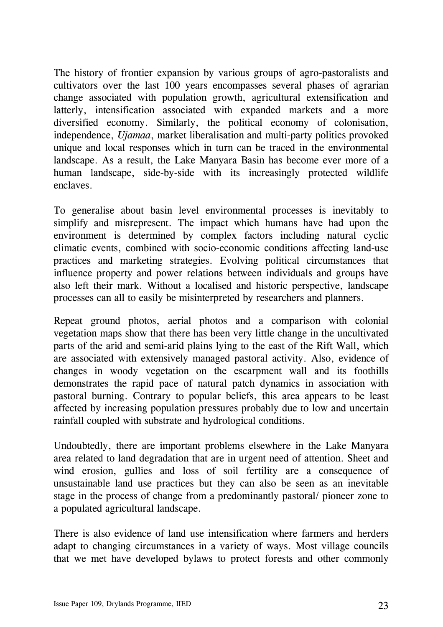The history of frontier expansion by various groups of agro-pastoralists and cultivators over the last 100 years encompasses several phases of agrarian change associated with population growth, agricultural extensification and latterly, intensification associated with expanded markets and a more diversified economy. Similarly, the political economy of colonisation, independence, *Ujamaa*, market liberalisation and multi-party politics provoked unique and local responses which in turn can be traced in the environmental landscape. As a result, the Lake Manyara Basin has become ever more of a human landscape, side-by-side with its increasingly protected wildlife enclaves.

To generalise about basin level environmental processes is inevitably to simplify and misrepresent. The impact which humans have had upon the environment is determined by complex factors including natural cyclic climatic events, combined with socio-economic conditions affecting land-use practices and marketing strategies. Evolving political circumstances that influence property and power relations between individuals and groups have also left their mark. Without a localised and historic perspective, landscape processes can all to easily be misinterpreted by researchers and planners.

Repeat ground photos, aerial photos and a comparison with colonial vegetation maps show that there has been very little change in the uncultivated parts of the arid and semi-arid plains lying to the east of the Rift Wall, which are associated with extensively managed pastoral activity. Also, evidence of changes in woody vegetation on the escarpment wall and its foothills demonstrates the rapid pace of natural patch dynamics in association with pastoral burning. Contrary to popular beliefs, this area appears to be least affected by increasing population pressures probably due to low and uncertain rainfall coupled with substrate and hydrological conditions.

Undoubtedly, there are important problems elsewhere in the Lake Manyara area related to land degradation that are in urgent need of attention. Sheet and wind erosion, gullies and loss of soil fertility are a consequence of unsustainable land use practices but they can also be seen as an inevitable stage in the process of change from a predominantly pastoral/ pioneer zone to a populated agricultural landscape.

There is also evidence of land use intensification where farmers and herders adapt to changing circumstances in a variety of ways. Most village councils that we met have developed bylaws to protect forests and other commonly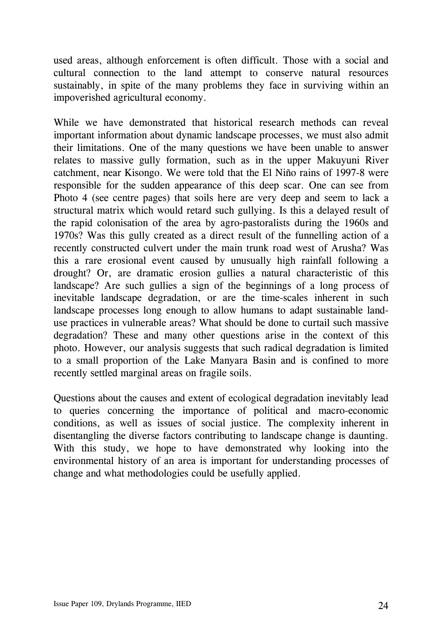used areas, although enforcement is often difficult. Those with a social and cultural connection to the land attempt to conserve natural resources sustainably, in spite of the many problems they face in surviving within an impoverished agricultural economy.

While we have demonstrated that historical research methods can reveal important information about dynamic landscape processes, we must also admit their limitations. One of the many questions we have been unable to answer relates to massive gully formation, such as in the upper Makuyuni River catchment, near Kisongo. We were told that the El Niño rains of 1997-8 were responsible for the sudden appearance of this deep scar. One can see from Photo 4 (see centre pages) that soils here are very deep and seem to lack a structural matrix which would retard such gullying. Is this a delayed result of the rapid colonisation of the area by agro-pastoralists during the 1960s and 1970s? Was this gully created as a direct result of the funnelling action of a recently constructed culvert under the main trunk road west of Arusha? Was this a rare erosional event caused by unusually high rainfall following a drought? Or, are dramatic erosion gullies a natural characteristic of this landscape? Are such gullies a sign of the beginnings of a long process of inevitable landscape degradation, or are the time-scales inherent in such landscape processes long enough to allow humans to adapt sustainable landuse practices in vulnerable areas? What should be done to curtail such massive degradation? These and many other questions arise in the context of this photo. However, our analysis suggests that such radical degradation is limited to a small proportion of the Lake Manyara Basin and is confined to more recently settled marginal areas on fragile soils.

Questions about the causes and extent of ecological degradation inevitably lead to queries concerning the importance of political and macro-economic conditions, as well as issues of social justice. The complexity inherent in disentangling the diverse factors contributing to landscape change is daunting. With this study, we hope to have demonstrated why looking into the environmental history of an area is important for understanding processes of change and what methodologies could be usefully applied.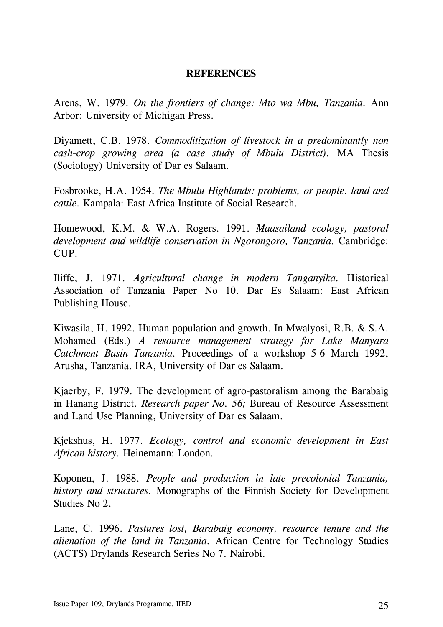#### **REFERENCES**

<span id="page-28-0"></span>Arens, W. 1979. *On the frontiers of change: Mto wa Mbu, Tanzania.* Ann Arbor: University of Michigan Press.

Diyamett, C.B. 1978. *Commoditization of livestock in a predominantly non cash-crop growing area (a case study of Mbulu District).* MA Thesis (Sociology) University of Dar es Salaam.

Fosbrooke, H.A. 1954. *The Mbulu Highlands: problems, or people. land and cattle.* Kampala: East Africa Institute of Social Research.

Homewood, K.M. & W.A. Rogers. 1991. *Maasailand ecology, pastoral development and wildlife conservation in Ngorongoro, Tanzania.* Cambridge: CUP.

Iliffe, J. 1971. *Agricultural change in modern Tanganyika.* Historical Association of Tanzania Paper No 10. Dar Es Salaam: East African Publishing House.

Kiwasila, H. 1992. Human population and growth. In Mwalyosi, R.B. & S.A. Mohamed (Eds.) *A resource management strategy for Lake Manyara Catchment Basin Tanzania.* Proceedings of a workshop 5-6 March 1992, Arusha, Tanzania. IRA, University of Dar es Salaam.

Kjaerby, F. 1979. The development of agro-pastoralism among the Barabaig in Hanang District. *Research paper No. 56;* Bureau of Resource Assessment and Land Use Planning, University of Dar es Salaam.

Kjekshus, H. 1977. *Ecology, control and economic development in East African history.* Heinemann: London.

Koponen, J. 1988. *People and production in late precolonial Tanzania, history and structures.* Monographs of the Finnish Society for Development Studies No 2.

Lane, C. 1996. *Pastures lost, Barabaig economy, resource tenure and the alienation of the land in Tanzania.* African Centre for Technology Studies (ACTS) Drylands Research Series No 7. Nairobi.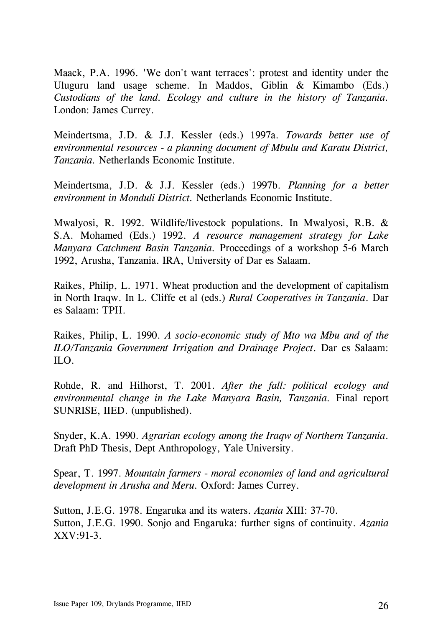Maack, P.A. 1996. 'We don't want terraces': protest and identity under the Uluguru land usage scheme. In Maddos, Giblin & Kimambo (Eds.) *Custodians of the land. Ecology and culture in the history of Tanzania.* London: James Currey.

Meindertsma, J.D. & J.J. Kessler (eds.) 1997a. *Towards better use of environmental resources - a planning document of Mbulu and Karatu District, Tanzania.* Netherlands Economic Institute.

Meindertsma, J.D. & J.J. Kessler (eds.) 1997b. *Planning for a better environment in Monduli District.* Netherlands Economic Institute.

Mwalyosi, R. 1992. Wildlife/livestock populations. In Mwalyosi, R.B. & S.A. Mohamed (Eds.) 1992. *A resource management strategy for Lake Manyara Catchment Basin Tanzania.* Proceedings of a workshop 5-6 March 1992, Arusha, Tanzania. IRA, University of Dar es Salaam.

Raikes, Philip, L. 1971. Wheat production and the development of capitalism in North Iraqw. In L. Cliffe et al (eds.) *Rural Cooperatives in Tanzania*. Dar es Salaam: TPH.

Raikes, Philip, L. 1990. *A socio-economic study of Mto wa Mbu and of the ILO/Tanzania Government Irrigation and Drainage Project*. Dar es Salaam: ILO.

Rohde, R. and Hilhorst, T. 2001. *After the fall: political ecology and environmental change in the Lake Manyara Basin, Tanzania.* Final report SUNRISE, IIED. (unpublished).

Snyder, K.A. 1990. *Agrarian ecology among the Iraqw of Northern Tanzania*. Draft PhD Thesis, Dept Anthropology, Yale University.

Spear, T. 1997. *Mountain farmers - moral economies of land and agricultural development in Arusha and Meru.* Oxford: James Currey.

Sutton, J.E.G. 1978. Engaruka and its waters. *Azania* XIII: 37-70. Sutton, J.E.G. 1990. Sonjo and Engaruka: further signs of continuity. *Azania* XXV:91-3.